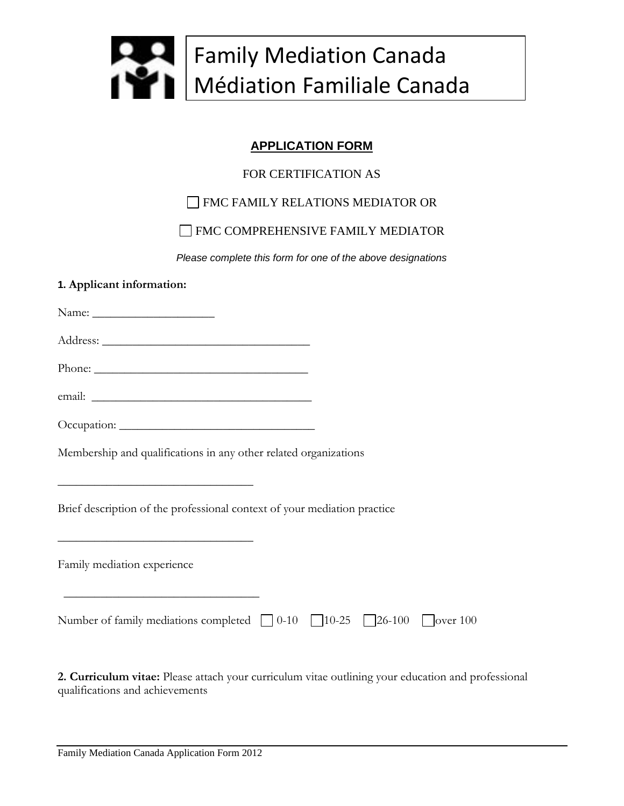

## **APPLICATION FORM**

## FOR CERTIFICATION AS

## FMC FAMILY RELATIONS MEDIATOR OR

## **FMC COMPREHENSIVE FAMILY MEDIATOR**

*Please complete this form for one of the above designations*

#### **1. Applicant information:**

| Membership and qualifications in any other related organizations                                                                                                                                                                                                                                                            |  |
|-----------------------------------------------------------------------------------------------------------------------------------------------------------------------------------------------------------------------------------------------------------------------------------------------------------------------------|--|
| <u> 1989 - Johann John Stein, markin fan it ferskearre fan it ferskearre fan it ferskearre fan it ferskearre fan </u><br>Brief description of the professional context of your mediation practice<br><u> 1989 - Johann Stoff, deutscher Stoffen und der Stoffen und der Stoffen und der Stoffen und der Stoffen und der</u> |  |
| Family mediation experience                                                                                                                                                                                                                                                                                                 |  |
| Number of family mediations completed $\bigcup 0-10$ $\bigcup 10-25$ $\bigcup 26-100$ $\bigcup$ over 100                                                                                                                                                                                                                    |  |

**2. Curriculum vitae:** Please attach your curriculum vitae outlining your education and professional qualifications and achievements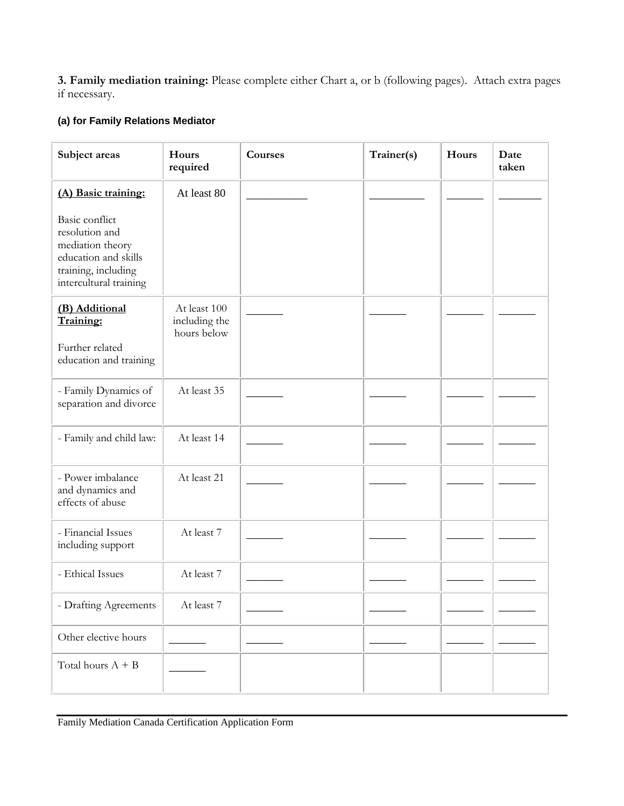**3. Family mediation training:** Please complete either Chart a, or b (following pages). Attach extra pages if necessary.

## **(a) for Family Relations Mediator**

| Subject areas                                                                                                                        | Hours<br>required                            | Courses | Trainer(s) | Hours | Date<br>taken |
|--------------------------------------------------------------------------------------------------------------------------------------|----------------------------------------------|---------|------------|-------|---------------|
| (A) Basic training:                                                                                                                  | At least 80                                  |         |            |       |               |
| <b>Basic</b> conflict<br>resolution and<br>mediation theory<br>education and skills<br>training, including<br>intercultural training |                                              |         |            |       |               |
| (B) Additional<br>Training:<br>Further related<br>education and training                                                             | At least 100<br>including the<br>hours below |         |            |       |               |
| - Family Dynamics of<br>separation and divorce                                                                                       | At least 35                                  |         |            |       |               |
| - Family and child law:                                                                                                              | At least 14                                  |         |            |       |               |
| - Power imbalance<br>and dynamics and<br>effects of abuse                                                                            | At least 21                                  |         |            |       |               |
| - Financial Issues<br>including support                                                                                              | At least 7                                   |         |            |       |               |
| - Ethical Issues                                                                                                                     | At least 7                                   |         |            |       |               |
| - Drafting Agreements                                                                                                                | At least 7                                   |         |            |       |               |
| Other elective hours                                                                                                                 |                                              |         |            |       |               |
| Total hours $A + B$                                                                                                                  |                                              |         |            |       |               |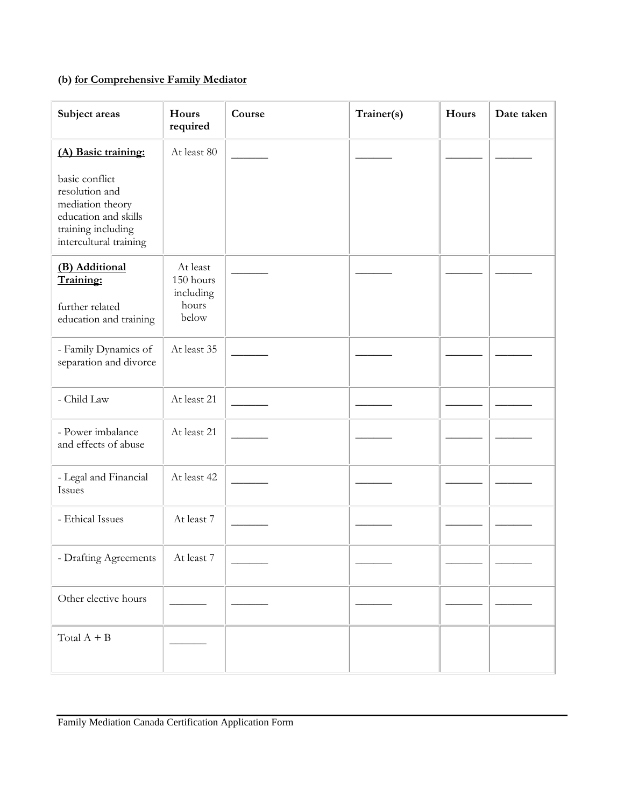# **(b) for Comprehensive Family Mediator**

| Subject areas                                                                                                                | Hours<br>required                                    | Course | Trainer(s) | Hours | Date taken |
|------------------------------------------------------------------------------------------------------------------------------|------------------------------------------------------|--------|------------|-------|------------|
| (A) Basic training:                                                                                                          | At least 80                                          |        |            |       |            |
| basic conflict<br>resolution and<br>mediation theory<br>education and skills<br>training including<br>intercultural training |                                                      |        |            |       |            |
| (B) Additional<br>Training:<br>further related<br>education and training                                                     | At least<br>150 hours<br>including<br>hours<br>below |        |            |       |            |
| - Family Dynamics of<br>separation and divorce                                                                               | At least 35                                          |        |            |       |            |
| - Child Law                                                                                                                  | At least 21                                          |        |            |       |            |
| - Power imbalance<br>and effects of abuse                                                                                    | At least 21                                          |        |            |       |            |
| - Legal and Financial<br>Issues                                                                                              | At least 42                                          |        |            |       |            |
| - Ethical Issues                                                                                                             | At least 7                                           |        |            |       |            |
| - Drafting Agreements                                                                                                        | At least 7                                           |        |            |       |            |
| Other elective hours                                                                                                         |                                                      |        |            |       |            |
| Total $A + B$                                                                                                                |                                                      |        |            |       |            |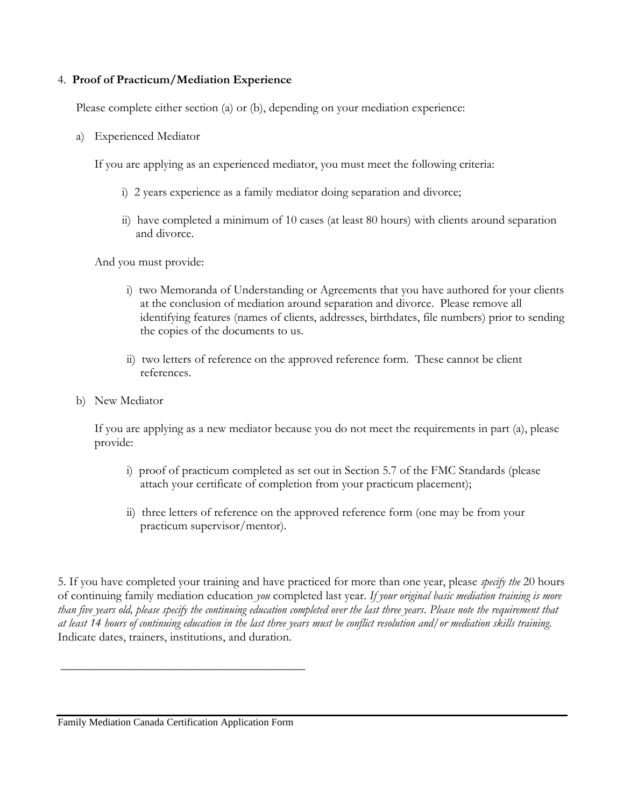#### 4. **Proof of Practicum/Mediation Experience**

Please complete either section (a) or (b), depending on your mediation experience:

a) Experienced Mediator

If you are applying as an experienced mediator, you must meet the following criteria:

- i) 2 years experience as a family mediator doing separation and divorce;
- ii) have completed a minimum of 10 cases (at least 80 hours) with clients around separation and divorce.

And you must provide:

- i) two Memoranda of Understanding or Agreements that you have authored for your clients at the conclusion of mediation around separation and divorce. Please remove all identifying features (names of clients, addresses, birthdates, file numbers) prior to sending the copies of the documents to us.
- ii) two letters of reference on the approved reference form. These cannot be client references.
- b) New Mediator

If you are applying as a new mediator because you do not meet the requirements in part (a), please provide:

- i) proof of practicum completed as set out in Section 5.7 of the FMC Standards (please attach your certificate of completion from your practicum placement);
- ii) three letters of reference on the approved reference form (one may be from your practicum supervisor/mentor).

5. If you have completed your training and have practiced for more than one year, please *specify the* 20 hours of continuing family mediation education *you* completed last year. *If your original basic mediation training is more than five years old, please specify the continuing education completed over the last three years*. *Please note the requirement that at least 14 hours of continuing education in the last three years must be conflict resolution and/or mediation skills training.*  Indicate dates, trainers, institutions, and duration.

Family Mediation Canada Certification Application Form

 $\overline{\phantom{a}}$  , where  $\overline{\phantom{a}}$  , where  $\overline{\phantom{a}}$  ,  $\overline{\phantom{a}}$  ,  $\overline{\phantom{a}}$  ,  $\overline{\phantom{a}}$  ,  $\overline{\phantom{a}}$  ,  $\overline{\phantom{a}}$  ,  $\overline{\phantom{a}}$  ,  $\overline{\phantom{a}}$  ,  $\overline{\phantom{a}}$  ,  $\overline{\phantom{a}}$  ,  $\overline{\phantom{a}}$  ,  $\overline{\phantom{a}}$  ,  $\overline{\phantom{a}}$  ,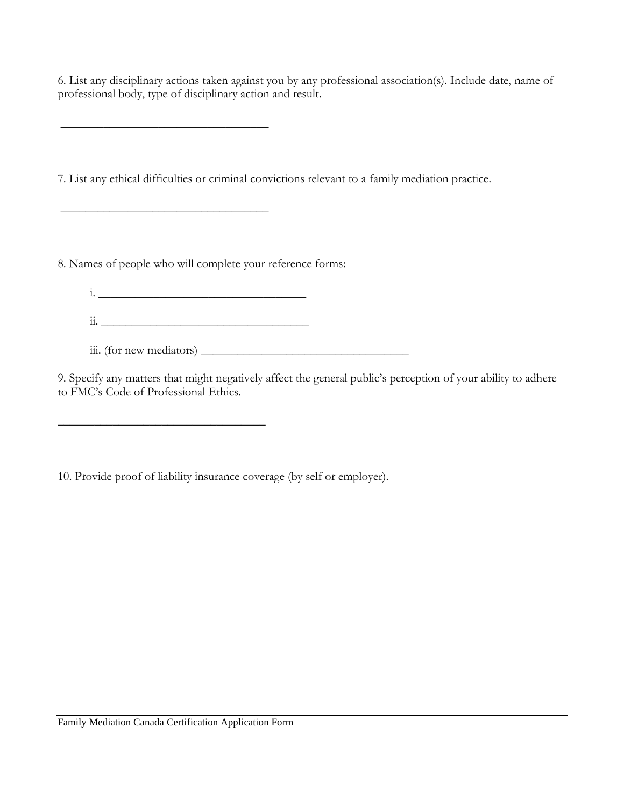6. List any disciplinary actions taken against you by any professional association(s). Include date, name of professional body, type of disciplinary action and result.

7. List any ethical difficulties or criminal convictions relevant to a family mediation practice.

8. Names of people who will complete your reference forms:

\_\_\_\_\_\_\_\_\_\_\_\_\_\_\_\_\_\_\_\_\_\_\_\_\_\_\_\_\_\_\_\_\_\_

\_\_\_\_\_\_\_\_\_\_\_\_\_\_\_\_\_\_\_\_\_\_\_\_\_\_\_\_\_\_\_\_\_\_

\_\_\_\_\_\_\_\_\_\_\_\_\_\_\_\_\_\_\_\_\_\_\_\_\_\_\_\_\_\_\_\_\_\_

- i.  $\frac{1}{2}$  ,  $\frac{1}{2}$  ,  $\frac{1}{2}$  ,  $\frac{1}{2}$  ,  $\frac{1}{2}$  ,  $\frac{1}{2}$  ,  $\frac{1}{2}$  ,  $\frac{1}{2}$  ,  $\frac{1}{2}$  ,  $\frac{1}{2}$  ,  $\frac{1}{2}$  ,  $\frac{1}{2}$  ,  $\frac{1}{2}$  ,  $\frac{1}{2}$  ,  $\frac{1}{2}$  ,  $\frac{1}{2}$  ,  $\frac{1}{2}$  ,  $\frac{1}{2}$  ,  $\$
- ii.  $\frac{1}{11}$ .
- iii. (for new mediators) \_\_\_\_\_\_\_\_\_\_\_\_\_\_\_\_\_\_\_\_\_\_\_\_\_\_\_\_\_\_\_\_\_\_

9. Specify any matters that might negatively affect the general public's perception of your ability to adhere to FMC's Code of Professional Ethics.

10. Provide proof of liability insurance coverage (by self or employer).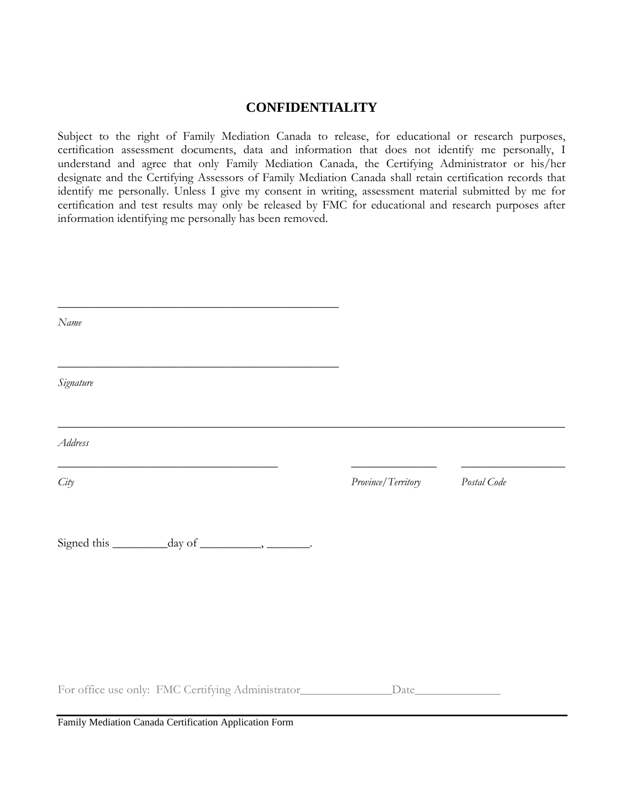### **CONFIDENTIALITY**

Subject to the right of Family Mediation Canada to release, for educational or research purposes, certification assessment documents, data and information that does not identify me personally, I understand and agree that only Family Mediation Canada, the Certifying Administrator or his/her designate and the Certifying Assessors of Family Mediation Canada shall retain certification records that identify me personally. Unless I give my consent in writing, assessment material submitted by me for certification and test results may only be released by FMC for educational and research purposes after information identifying me personally has been removed.

| Name      |                                                   |                    |             |
|-----------|---------------------------------------------------|--------------------|-------------|
| Signature |                                                   |                    |             |
| Address   |                                                   |                    |             |
| City      |                                                   | Province/Territory | Postal Code |
|           |                                                   |                    |             |
|           |                                                   |                    |             |
|           | For office use only: FMC Certifying Administrator |                    |             |

Family Mediation Canada Certification Application Form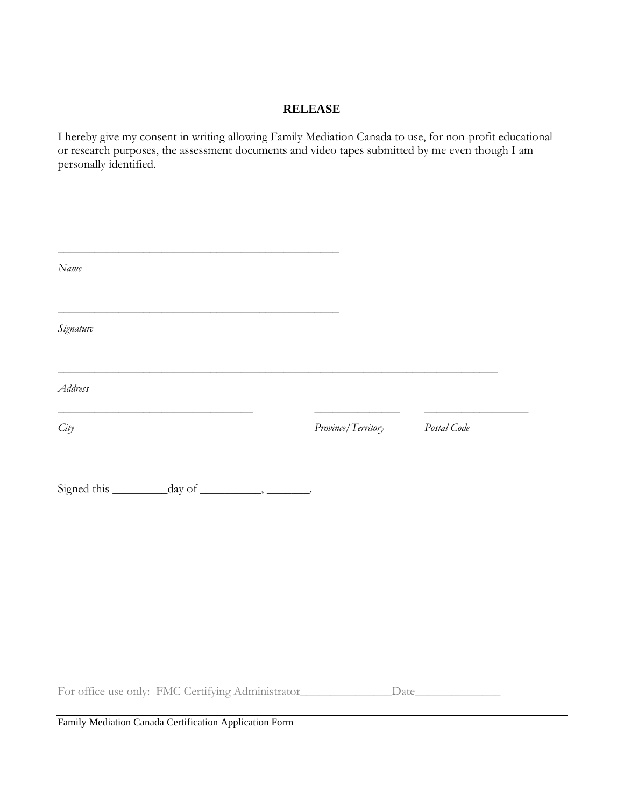#### **RELEASE**

I hereby give my consent in writing allowing Family Mediation Canada to use, for non-profit educational or research purposes, the assessment documents and video tapes submitted by me even though I am personally identified.

| Name                                                  |                    |             |
|-------------------------------------------------------|--------------------|-------------|
| Signature                                             |                    |             |
| Address                                               |                    |             |
| City                                                  | Province/Territory | Postal Code |
| Signed this __________ day of ___________, _________. |                    |             |
|                                                       |                    |             |
|                                                       |                    |             |
|                                                       |                    |             |
| For office use only: FMC Certifying Administrator     |                    |             |

Family Mediation Canada Certification Application Form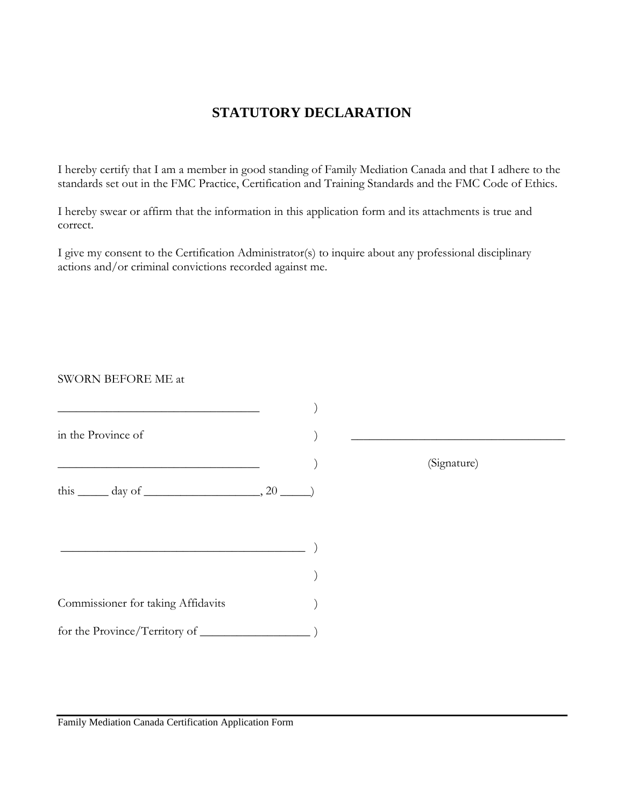# **STATUTORY DECLARATION**

I hereby certify that I am a member in good standing of Family Mediation Canada and that I adhere to the standards set out in the FMC Practice, Certification and Training Standards and the FMC Code of Ethics.

I hereby swear or affirm that the information in this application form and its attachments is true and correct.

I give my consent to the Certification Administrator(s) to inquire about any professional disciplinary actions and/or criminal convictions recorded against me.

#### SWORN BEFORE ME at

| in the Province of                                         |             |  |
|------------------------------------------------------------|-------------|--|
|                                                            | (Signature) |  |
| this $\_\_\_\$ day of $\_\_\_\_\_\$ 20 $\_\_\_\)$          |             |  |
|                                                            |             |  |
| <u> 1989 - Johann Barbara, martxa alemaniar arg</u> entina |             |  |
|                                                            |             |  |
| Commissioner for taking Affidavits                         |             |  |
|                                                            |             |  |